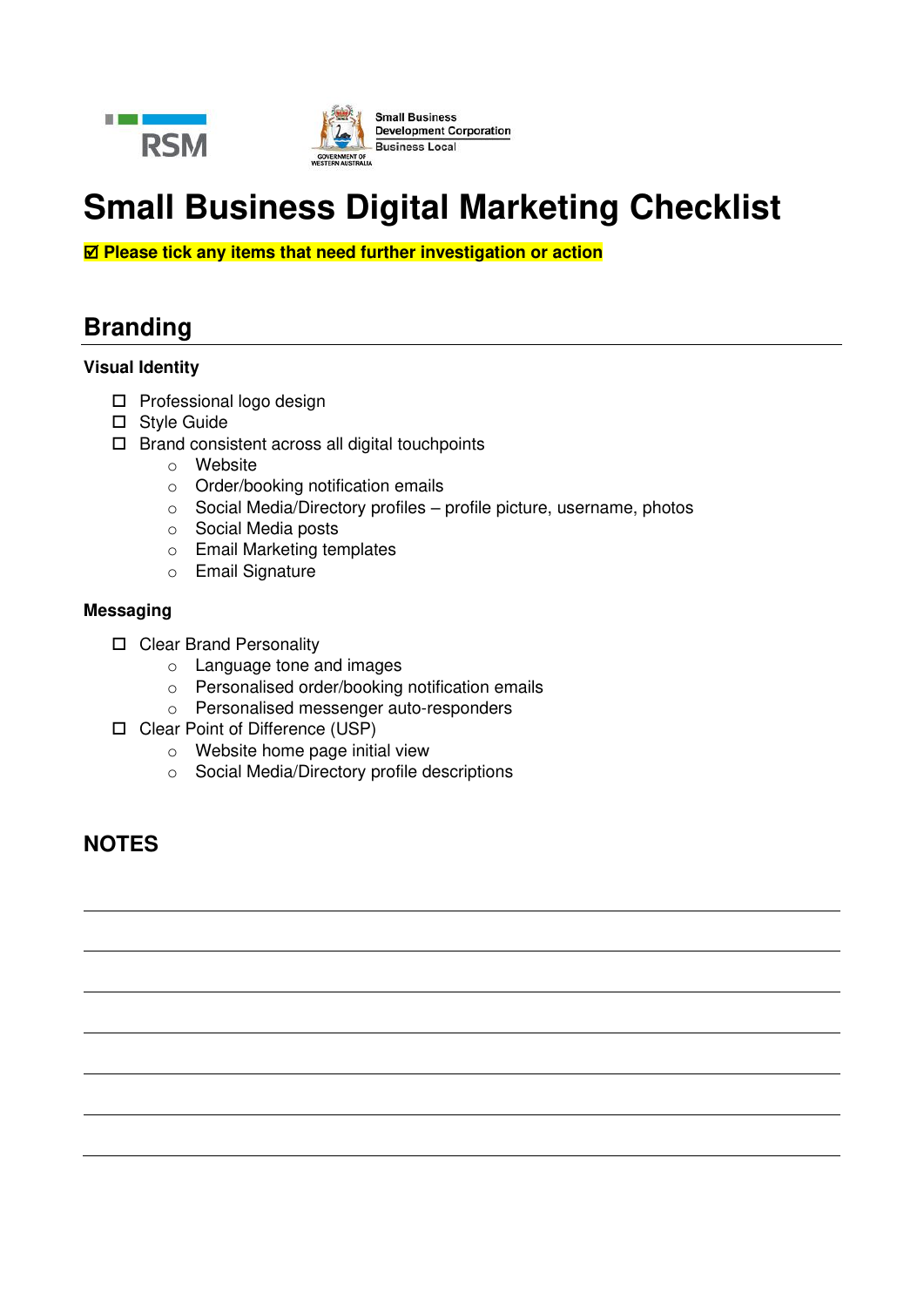



# **Small Business Digital Marketing Checklist**

 **Please tick any items that need further investigation or action**

## **Branding**

### **Visual Identity**

- $\square$  Professional logo design
- □ Style Guide
- $\Box$  Brand consistent across all digital touchpoints
	- o Website
	- o Order/booking notification emails
	- o Social Media/Directory profiles profile picture, username, photos
	- o Social Media posts
	- o Email Marketing templates
	- o Email Signature

### **Messaging**

- □ Clear Brand Personality
	- o Language tone and images
	- o Personalised order/booking notification emails
	- o Personalised messenger auto-responders
- □ Clear Point of Difference (USP)
	- o Website home page initial view
	- o Social Media/Directory profile descriptions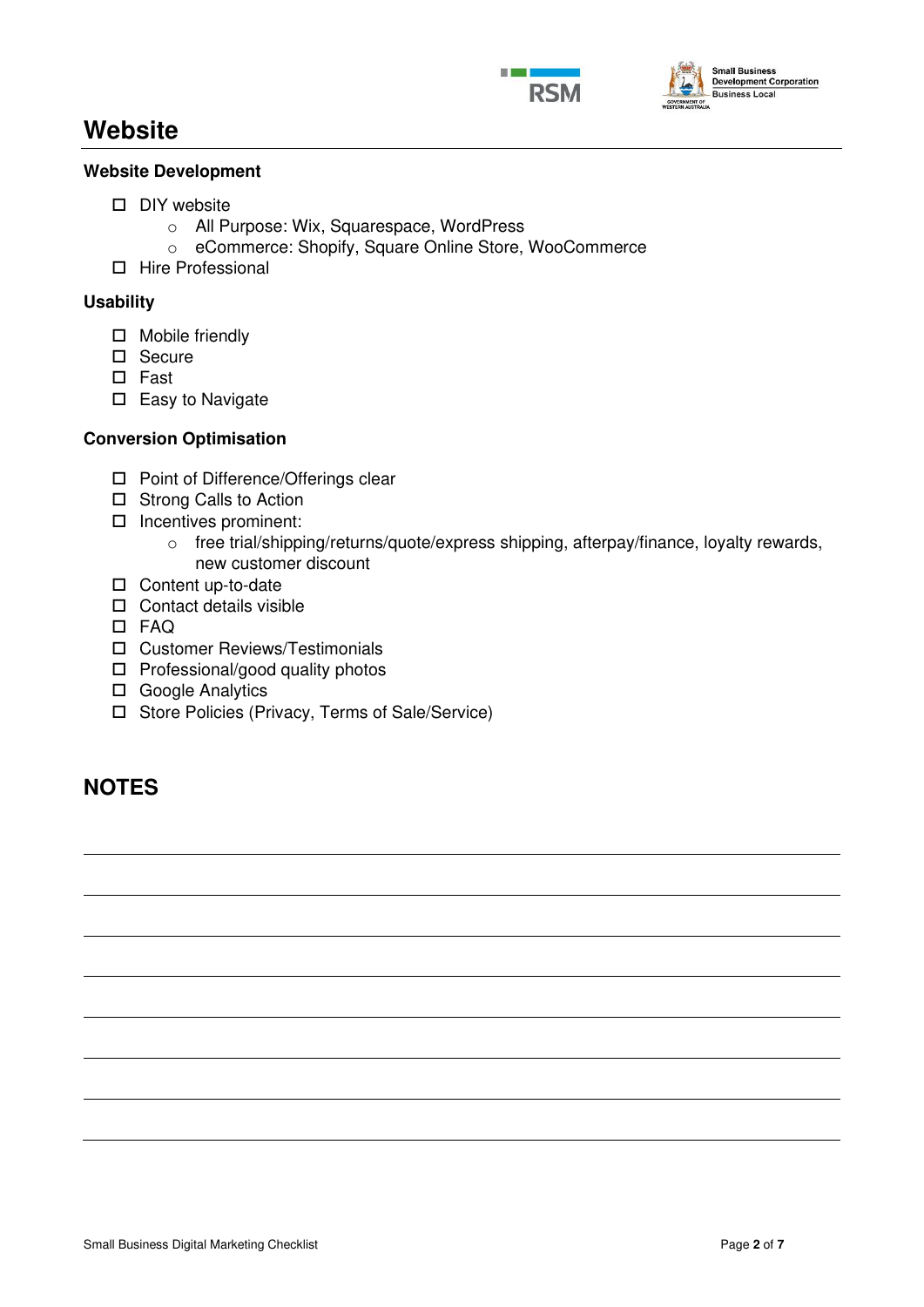



## **Website**

### **Website Development**

- $\square$  DIY website
	- o All Purpose: Wix, Squarespace, WordPress
	- o eCommerce: Shopify, Square Online Store, WooCommerce
- □ Hire Professional

### **Usability**

- □ Mobile friendly
- □ Secure
- □ Fast
- $\square$  Easy to Navigate

### **Conversion Optimisation**

- □ Point of Difference/Offerings clear
- □ Strong Calls to Action
- $\square$  Incentives prominent:
	- o free trial/shipping/returns/quote/express shipping, afterpay/finance, loyalty rewards, new customer discount
- □ Content up-to-date
- $\Box$  Contact details visible
- FAQ
- Customer Reviews/Testimonials
- $\Box$  Professional/good quality photos
- □ Google Analytics
- □ Store Policies (Privacy, Terms of Sale/Service)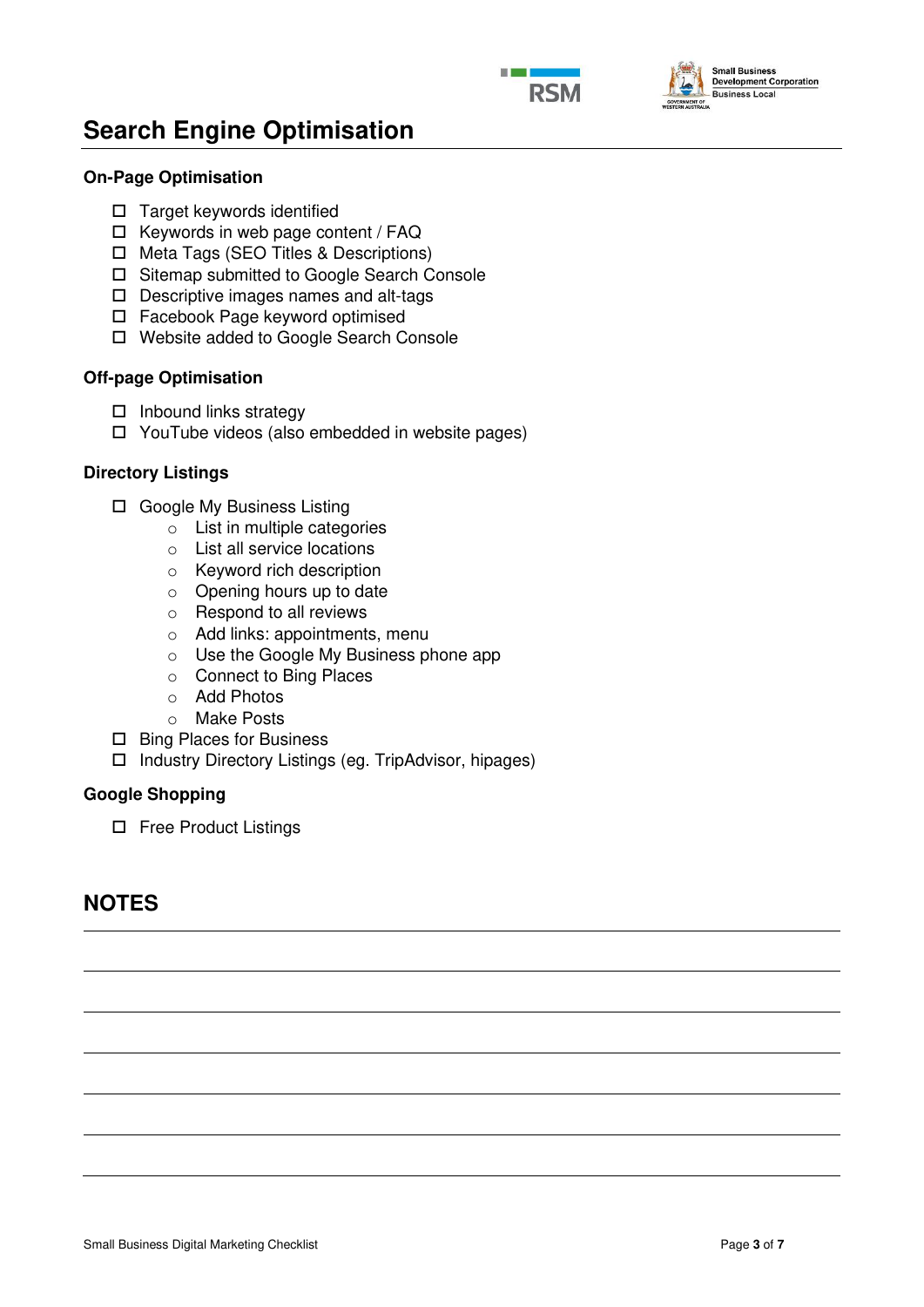



## **Search Engine Optimisation**

### **On-Page Optimisation**

- $\Box$  Target keywords identified
- $\Box$  Keywords in web page content / FAQ
- □ Meta Tags (SEO Titles & Descriptions)
- □ Sitemap submitted to Google Search Console
- D Descriptive images names and alt-tags
- Facebook Page keyword optimised
- Website added to Google Search Console

### **Off-page Optimisation**

- $\Box$  Inbound links strategy
- YouTube videos (also embedded in website pages)

### **Directory Listings**

- □ Google My Business Listing
	- o List in multiple categories
	- o List all service locations
	- o Keyword rich description
	- o Opening hours up to date
	- o Respond to all reviews
	- o Add links: appointments, menu
	- o Use the Google My Business phone app
	- o Connect to Bing Places
	- o Add Photos
	- o Make Posts
- □ Bing Places for Business
- Industry Directory Listings (eg. TripAdvisor, hipages)

### **Google Shopping**

□ Free Product Listings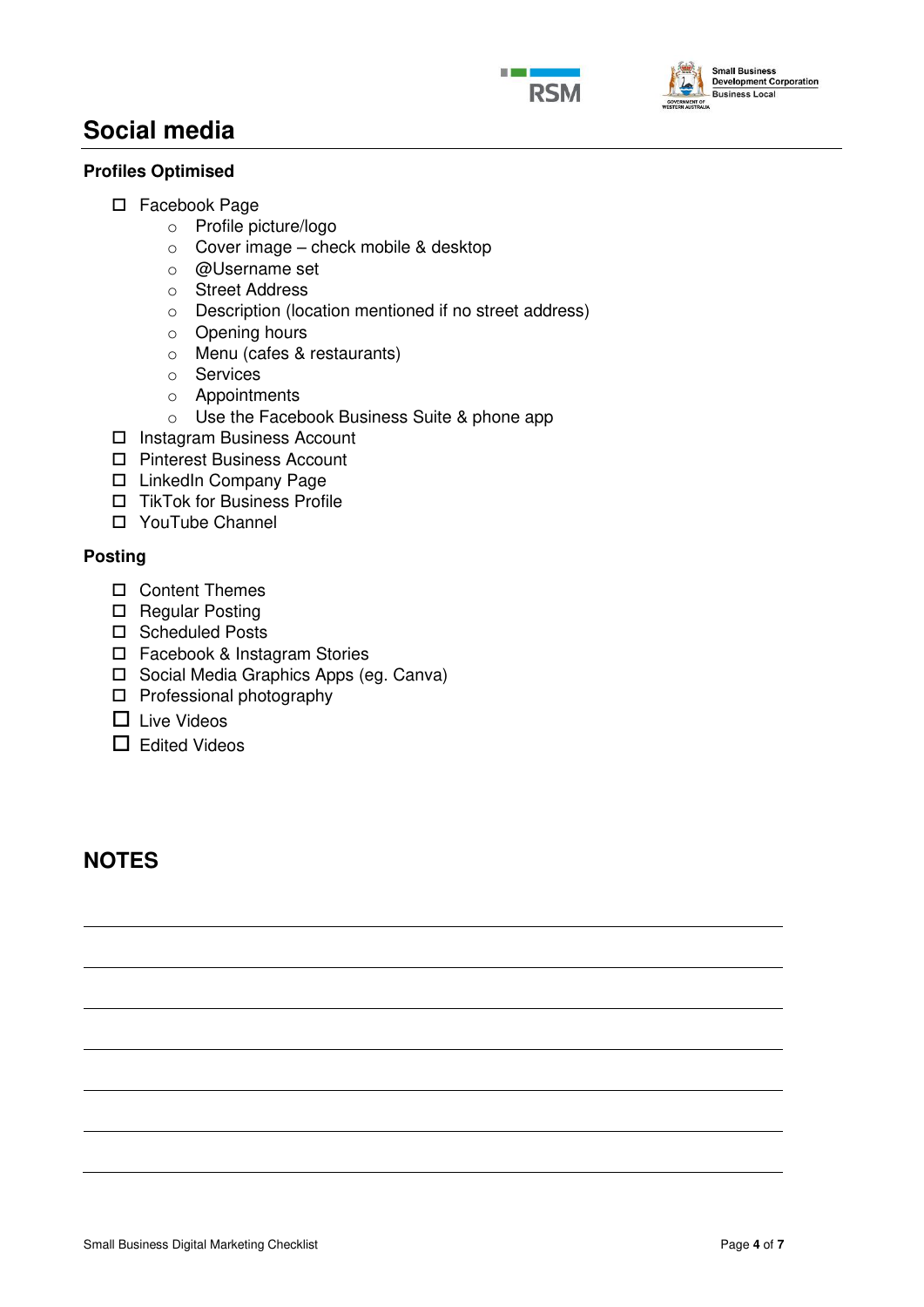



## **Social media**

## **Profiles Optimised**

- □ Facebook Page
	- o Profile picture/logo
	- o Cover image check mobile & desktop
	- o @Username set
	- o Street Address
	- o Description (location mentioned if no street address)
	- o Opening hours
	- o Menu (cafes & restaurants)
	- o Services
	- o Appointments
	- o Use the Facebook Business Suite & phone app
- □ Instagram Business Account
- □ Pinterest Business Account
- □ LinkedIn Company Page
- □ TikTok for Business Profile
- YouTube Channel

## **Posting**

- Content Themes
- □ Regular Posting
- □ Scheduled Posts
- □ Facebook & Instagram Stories
- □ Social Media Graphics Apps (eg. Canva)
- $\square$  Professional photography
- $\Box$  Live Videos
- $\Box$  Edited Videos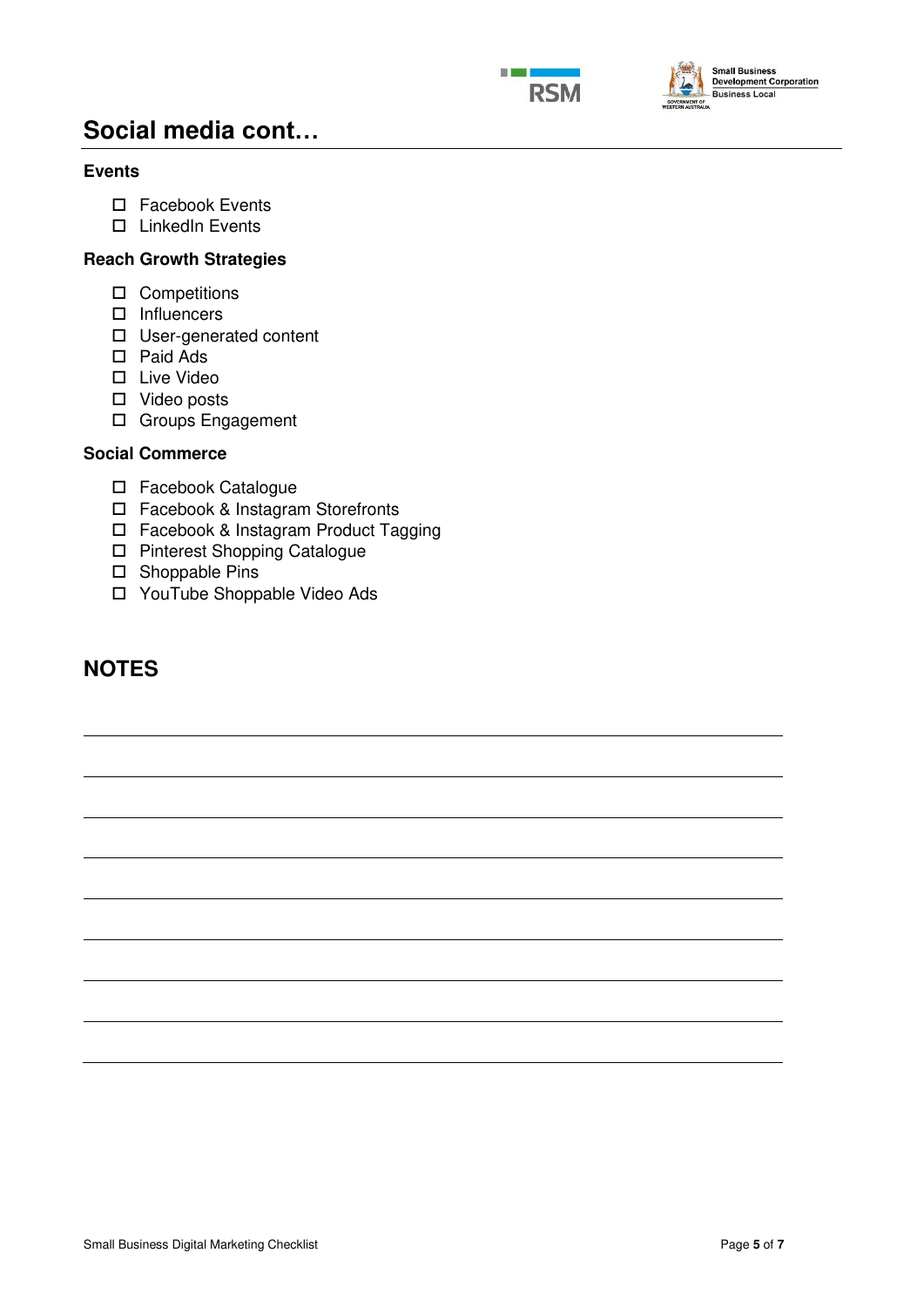



## **Social media cont…**

## **Events**

- □ Facebook Events
- □ LinkedIn Events

## **Reach Growth Strategies**

- □ Competitions
- $\square$  Influencers
- □ User-generated content
- Paid Ads
- □ Live Video
- □ Video posts
- Groups Engagement

## **Social Commerce**

- Facebook Catalogue
- □ Facebook & Instagram Storefronts
- □ Facebook & Instagram Product Tagging
- □ Pinterest Shopping Catalogue
- □ Shoppable Pins
- YouTube Shoppable Video Ads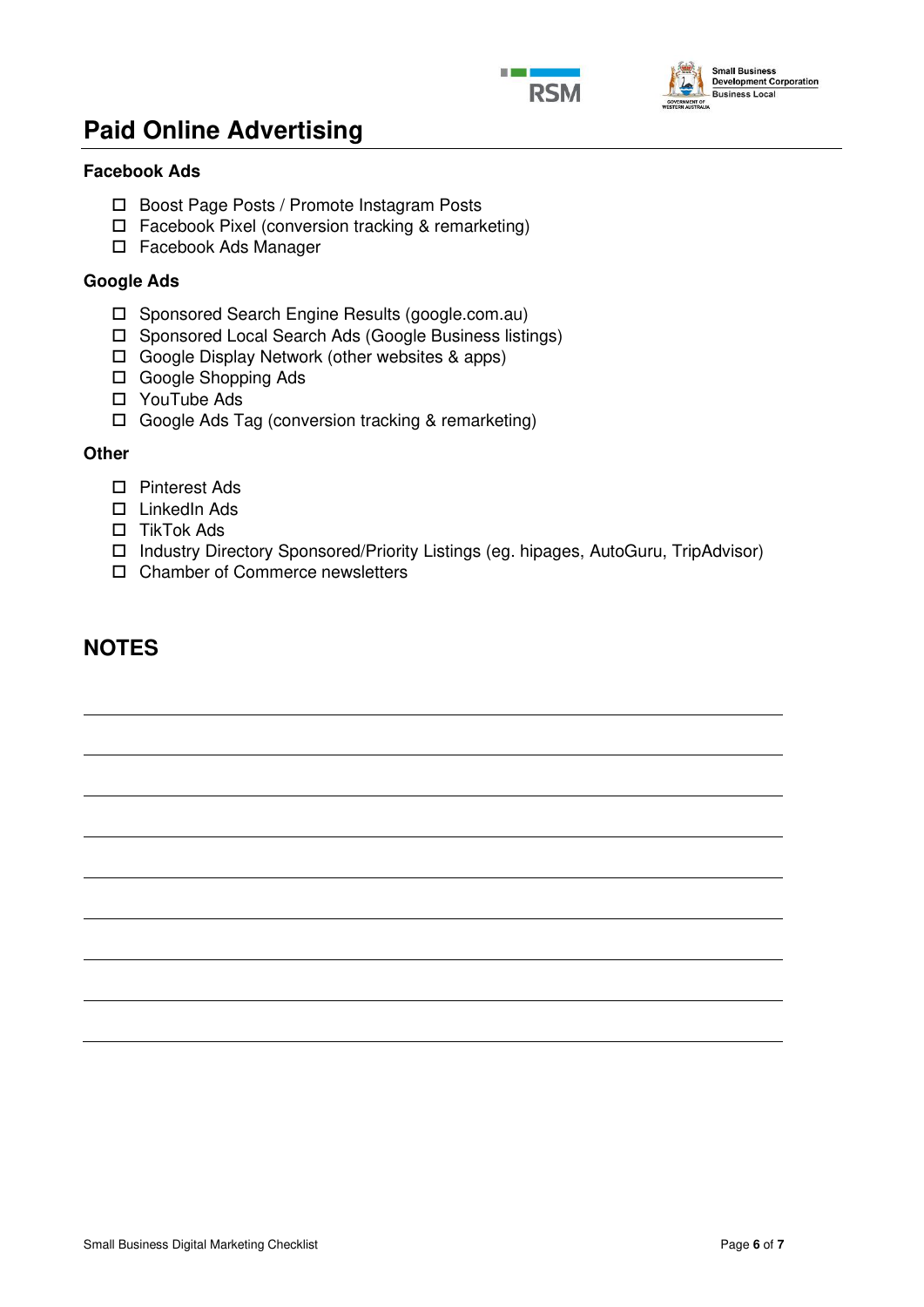



## **Paid Online Advertising**

## **Facebook Ads**

- □ Boost Page Posts / Promote Instagram Posts
- Facebook Pixel (conversion tracking & remarketing)
- □ Facebook Ads Manager

### **Google Ads**

- □ Sponsored Search Engine Results (google.com.au)
- □ Sponsored Local Search Ads (Google Business listings)
- Google Display Network (other websites & apps)
- □ Google Shopping Ads
- □ YouTube Ads
- □ Google Ads Tag (conversion tracking & remarketing)

### **Other**

- □ Pinterest Ads
- □ LinkedIn Ads
- □ TikTok Ads
- Industry Directory Sponsored/Priority Listings (eg. hipages, AutoGuru, TripAdvisor)
- □ Chamber of Commerce newsletters